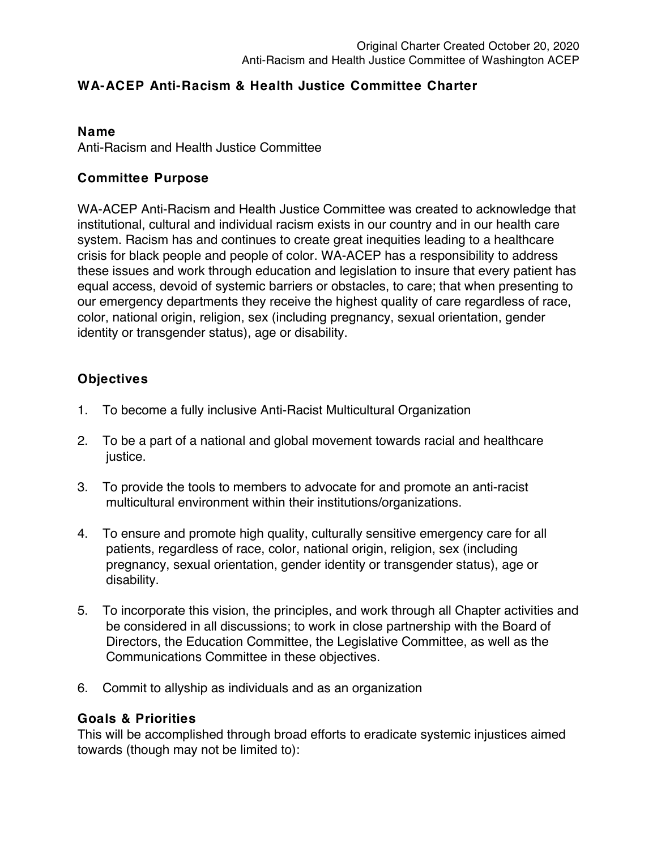## **WA-ACEP Anti-Racism & Health Justice Committee Charter**

#### **Name**

Anti-Racism and Health Justice Committee

### **Committee Purpose**

WA-ACEP Anti-Racism and Health Justice Committee was created to acknowledge that institutional, cultural and individual racism exists in our country and in our health care system. Racism has and continues to create great inequities leading to a healthcare crisis for black people and people of color. WA-ACEP has a responsibility to address these issues and work through education and legislation to insure that every patient has equal access, devoid of systemic barriers or obstacles, to care; that when presenting to our emergency departments they receive the highest quality of care regardless of race, color, national origin, religion, sex (including pregnancy, sexual orientation, gender identity or transgender status), age or disability.

# **Objectives**

- 1. To become a fully inclusive Anti-Racist Multicultural Organization
- 2. To be a part of a national and global movement towards racial and healthcare justice.
- 3. To provide the tools to members to advocate for and promote an anti-racist multicultural environment within their institutions/organizations.
- 4. To ensure and promote high quality, culturally sensitive emergency care for all patients, regardless of race, color, national origin, religion, sex (including pregnancy, sexual orientation, gender identity or transgender status), age or disability.
- 5. To incorporate this vision, the principles, and work through all Chapter activities and be considered in all discussions; to work in close partnership with the Board of Directors, the Education Committee, the Legislative Committee, as well as the Communications Committee in these objectives.
- 6. Commit to allyship as individuals and as an organization

### **Goals & Priorities**

This will be accomplished through broad efforts to eradicate systemic injustices aimed towards (though may not be limited to):